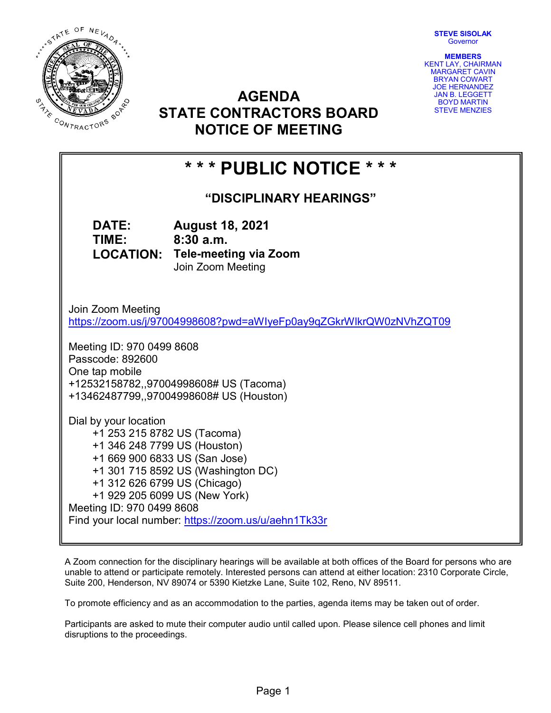STATE OF NEVADA  $\overline{\phantom{a}}$ **STATE CONTRACTORS** 

STEVE SISOLAK **Governor** 

MEMBERS KENT LAY, CHAIRMAN MARGARET CAVIN BRYAN COWART JOE HERNANDEZ JAN B. LEGGETT BOYD MARTIN STEVE MENZIES

# AGENDA STATE CONTRACTORS BOARD NOTICE OF MEETING

# \* \* \* PUBLIC NOTICE \* \* \*

"DISCIPLINARY HEARINGS"

DATE: August 18, 2021 TIME: 8:30 a.m. LOCATION: Tele-meeting via Zoom Join Zoom Meeting

Join Zoom Meeting https://zoom.us/j/97004998608?pwd=aWIyeFp0ay9qZGkrWlkrQW0zNVhZQT09

Meeting ID: 970 0499 8608 Passcode: 892600 One tap mobile +12532158782,,97004998608# US (Tacoma) +13462487799,,97004998608# US (Houston)

Dial by your location +1 253 215 8782 US (Tacoma) +1 346 248 7799 US (Houston) +1 669 900 6833 US (San Jose) +1 301 715 8592 US (Washington DC) +1 312 626 6799 US (Chicago) +1 929 205 6099 US (New York) Meeting ID: 970 0499 8608 Find your local number: https://zoom.us/u/aehn1Tk33r

A Zoom connection for the disciplinary hearings will be available at both offices of the Board for persons who are unable to attend or participate remotely. Interested persons can attend at either location: 2310 Corporate Circle, Suite 200, Henderson, NV 89074 or 5390 Kietzke Lane, Suite 102, Reno, NV 89511.

To promote efficiency and as an accommodation to the parties, agenda items may be taken out of order.

Participants are asked to mute their computer audio until called upon. Please silence cell phones and limit disruptions to the proceedings.